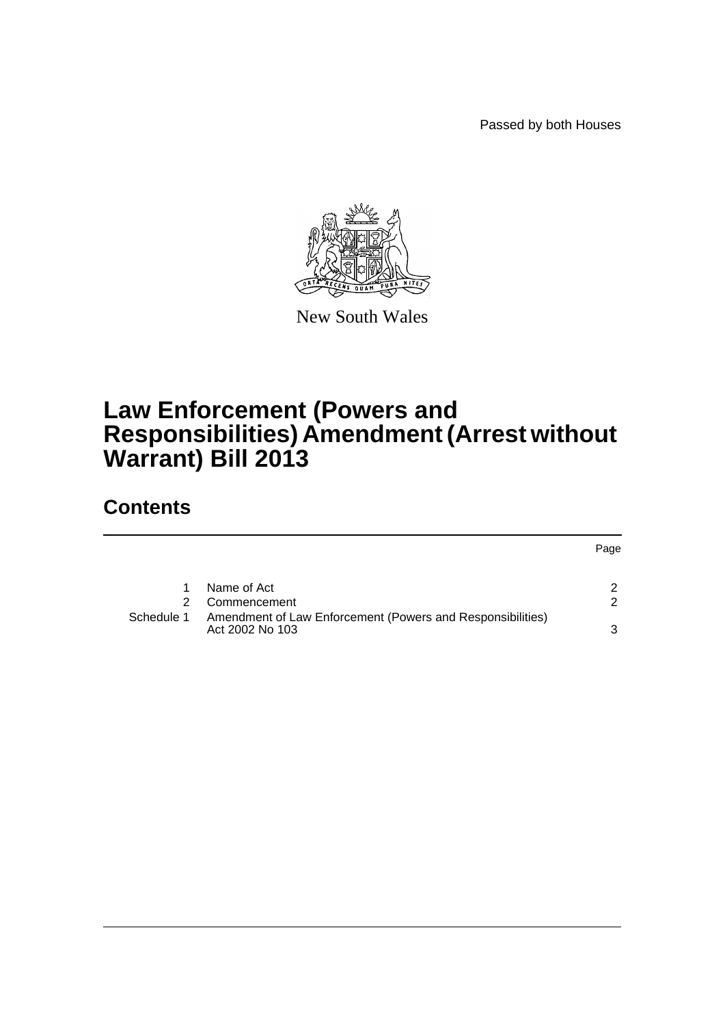Passed by both Houses



New South Wales

## **Law Enforcement (Powers and Responsibilities) Amendment (Arrest without Warrant) Bill 2013**

### **Contents**

|            |                                                                               | Page |
|------------|-------------------------------------------------------------------------------|------|
|            | Name of Act                                                                   | ົ    |
|            | Commencement                                                                  | ົ    |
| Schedule 1 | Amendment of Law Enforcement (Powers and Responsibilities)<br>Act 2002 No 103 | ર    |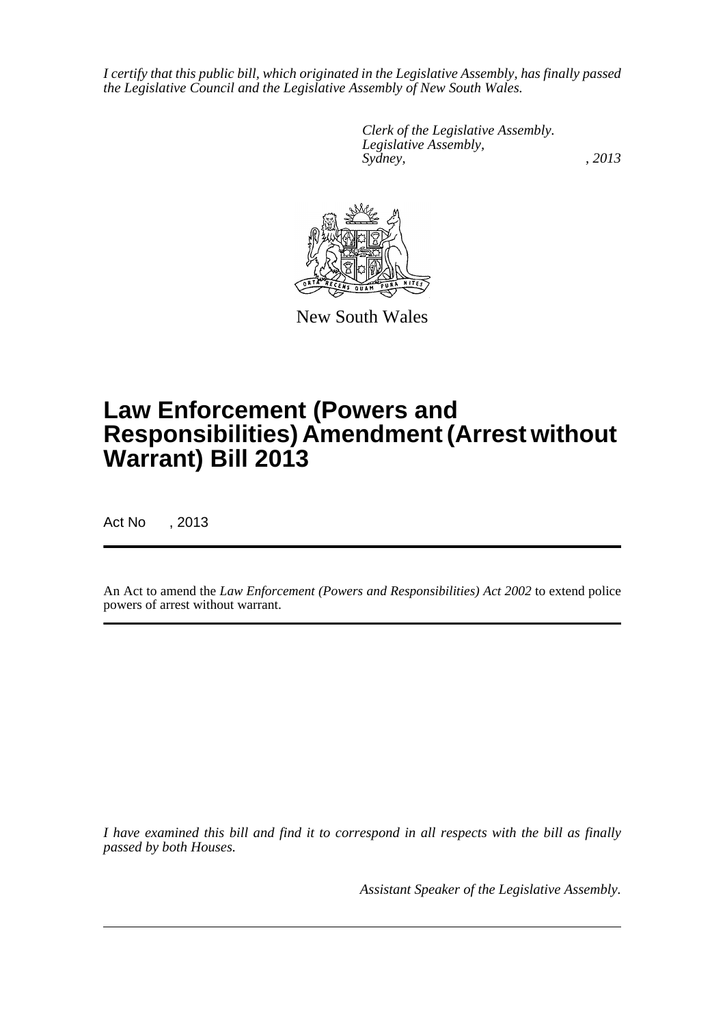*I certify that this public bill, which originated in the Legislative Assembly, has finally passed the Legislative Council and the Legislative Assembly of New South Wales.*

> *Clerk of the Legislative Assembly. Legislative Assembly, Sydney, , 2013*



New South Wales

# **Law Enforcement (Powers and Responsibilities) Amendment (Arrest without Warrant) Bill 2013**

Act No , 2013

An Act to amend the *Law Enforcement (Powers and Responsibilities) Act 2002* to extend police powers of arrest without warrant.

*I have examined this bill and find it to correspond in all respects with the bill as finally passed by both Houses.*

*Assistant Speaker of the Legislative Assembly.*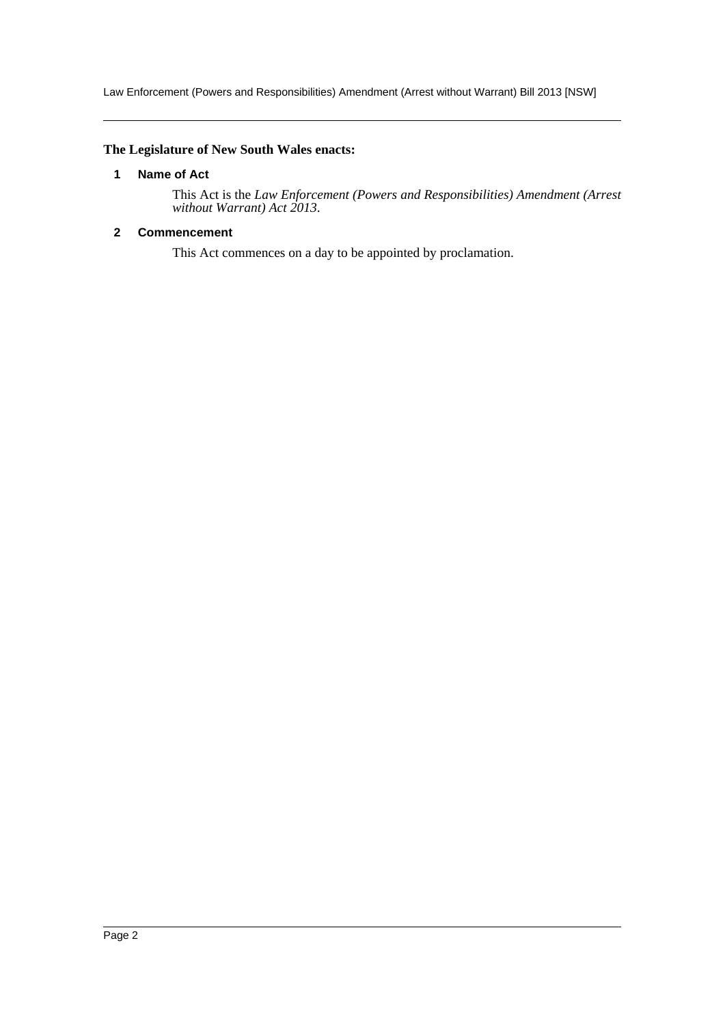Law Enforcement (Powers and Responsibilities) Amendment (Arrest without Warrant) Bill 2013 [NSW]

#### <span id="page-2-0"></span>**The Legislature of New South Wales enacts:**

#### **1 Name of Act**

This Act is the *Law Enforcement (Powers and Responsibilities) Amendment (Arrest without Warrant) Act 2013*.

#### <span id="page-2-1"></span>**2 Commencement**

This Act commences on a day to be appointed by proclamation.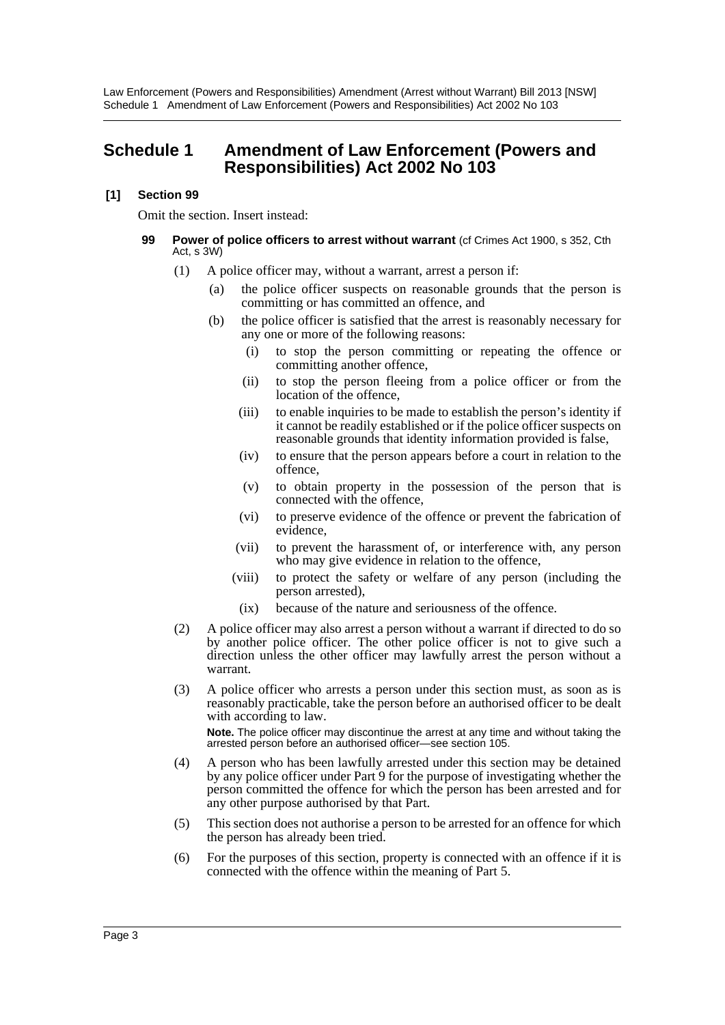### <span id="page-3-0"></span>**Schedule 1 Amendment of Law Enforcement (Powers and Responsibilities) Act 2002 No 103**

#### **[1] Section 99**

Omit the section. Insert instead:

#### **99 Power of police officers to arrest without warrant** (cf Crimes Act 1900, s 352, Cth Act, s 3W)

- (1) A police officer may, without a warrant, arrest a person if:
	- (a) the police officer suspects on reasonable grounds that the person is committing or has committed an offence, and
	- (b) the police officer is satisfied that the arrest is reasonably necessary for any one or more of the following reasons:
		- (i) to stop the person committing or repeating the offence or committing another offence,
		- (ii) to stop the person fleeing from a police officer or from the location of the offence,
		- (iii) to enable inquiries to be made to establish the person's identity if it cannot be readily established or if the police officer suspects on reasonable grounds that identity information provided is false,
		- (iv) to ensure that the person appears before a court in relation to the offence,
		- (v) to obtain property in the possession of the person that is connected with the offence,
		- (vi) to preserve evidence of the offence or prevent the fabrication of evidence,
		- (vii) to prevent the harassment of, or interference with, any person who may give evidence in relation to the offence,
		- (viii) to protect the safety or welfare of any person (including the person arrested),
			- (ix) because of the nature and seriousness of the offence.
- (2) A police officer may also arrest a person without a warrant if directed to do so by another police officer. The other police officer is not to give such a direction unless the other officer may lawfully arrest the person without a warrant.
- (3) A police officer who arrests a person under this section must, as soon as is reasonably practicable, take the person before an authorised officer to be dealt with according to law. **Note.** The police officer may discontinue the arrest at any time and without taking the arrested person before an authorised officer—see section 105.
- (4) A person who has been lawfully arrested under this section may be detained by any police officer under Part 9 for the purpose of investigating whether the person committed the offence for which the person has been arrested and for any other purpose authorised by that Part.
- (5) This section does not authorise a person to be arrested for an offence for which the person has already been tried.
- (6) For the purposes of this section, property is connected with an offence if it is connected with the offence within the meaning of Part 5.